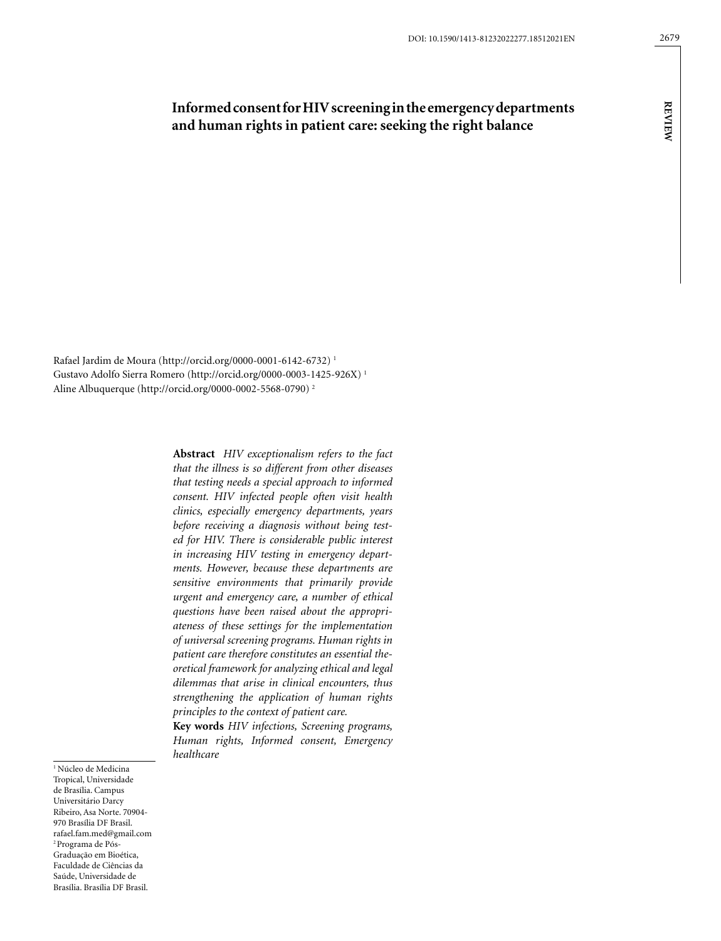# **Informed consent for HIV screening in the emergency departments and human rights in patient care: seeking the right balance**

Rafael Jardim de Moura (http://orcid.org/0000-0001-6142-6732) 1 Gustavo Adolfo Sierra Romero (http://orcid.org/0000-0003-1425-926X) 1 Aline Albuquerque (http://orcid.org/0000-0002-5568-0790) 2

> **Abstract** *HIV exceptionalism refers to the fact that the illness is so different from other diseases that testing needs a special approach to informed consent. HIV infected people often visit health clinics, especially emergency departments, years before receiving a diagnosis without being tested for HIV. There is considerable public interest in increasing HIV testing in emergency departments. However, because these departments are sensitive environments that primarily provide urgent and emergency care, a number of ethical questions have been raised about the appropriateness of these settings for the implementation of universal screening programs. Human rights in patient care therefore constitutes an essential theoretical framework for analyzing ethical and legal dilemmas that arise in clinical encounters, thus strengthening the application of human rights principles to the context of patient care.*

> **Key words** *HIV infections, Screening programs, Human rights, Informed consent, Emergency healthcare*

<sup>1</sup> Núcleo de Medicina Tropical, Universidade de Brasília. Campus Universitário Darcy Ribeiro, Asa Norte. 70904- 970 Brasília DF Brasil. rafael.fam.med@gmail.com 2 Programa de Pós-Graduação em Bioética, Faculdade de Ciências da Saúde, Universidade de Brasília. Brasília DF Brasil.

**review**

**REVIEW**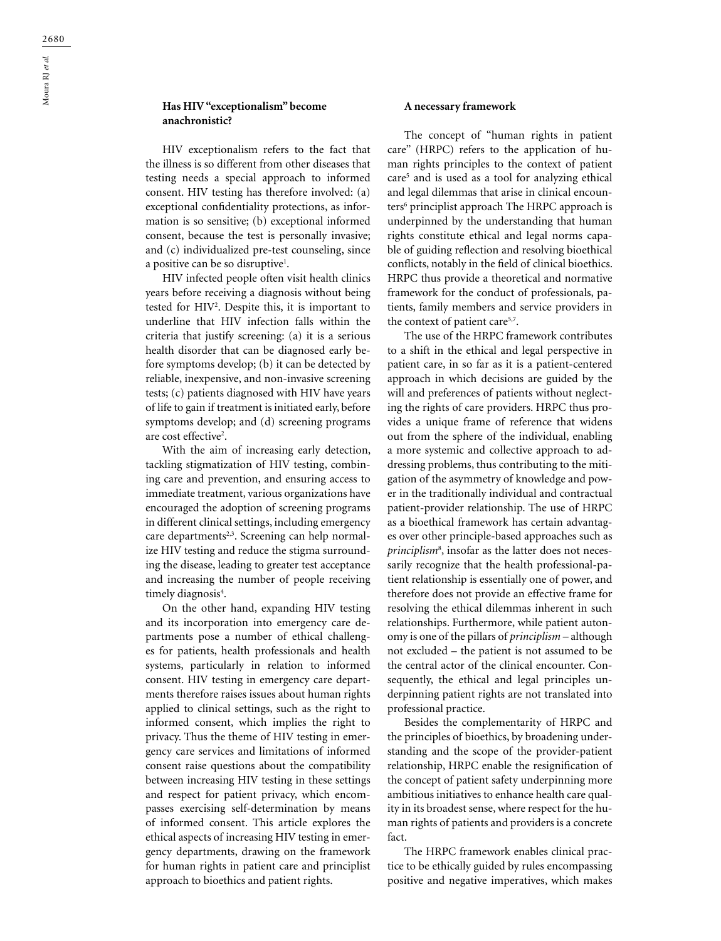# **Has HIV "exceptionalism" become anachronistic?**

HIV exceptionalism refers to the fact that the illness is so different from other diseases that testing needs a special approach to informed consent. HIV testing has therefore involved: (a) exceptional confidentiality protections, as information is so sensitive; (b) exceptional informed consent, because the test is personally invasive; and (c) individualized pre-test counseling, since a positive can be so disruptive<sup>1</sup>.

HIV infected people often visit health clinics years before receiving a diagnosis without being tested for HIV2 . Despite this, it is important to underline that HIV infection falls within the criteria that justify screening: (a) it is a serious health disorder that can be diagnosed early before symptoms develop; (b) it can be detected by reliable, inexpensive, and non-invasive screening tests; (c) patients diagnosed with HIV have years of life to gain if treatment is initiated early, before symptoms develop; and (d) screening programs are cost effective<sup>2</sup>.

With the aim of increasing early detection, tackling stigmatization of HIV testing, combining care and prevention, and ensuring access to immediate treatment, various organizations have encouraged the adoption of screening programs in different clinical settings, including emergency care departments<sup>2,3</sup>. Screening can help normalize HIV testing and reduce the stigma surrounding the disease, leading to greater test acceptance and increasing the number of people receiving timely diagnosis<sup>4</sup>.

On the other hand, expanding HIV testing and its incorporation into emergency care departments pose a number of ethical challenges for patients, health professionals and health systems, particularly in relation to informed consent. HIV testing in emergency care departments therefore raises issues about human rights applied to clinical settings, such as the right to informed consent, which implies the right to privacy. Thus the theme of HIV testing in emergency care services and limitations of informed consent raise questions about the compatibility between increasing HIV testing in these settings and respect for patient privacy, which encompasses exercising self-determination by means of informed consent. This article explores the ethical aspects of increasing HIV testing in emergency departments, drawing on the framework for human rights in patient care and principlist approach to bioethics and patient rights.

#### **A necessary framework**

The concept of "human rights in patient care" (HRPC) refers to the application of human rights principles to the context of patient care5 and is used as a tool for analyzing ethical and legal dilemmas that arise in clinical encounters6 principlist approach The HRPC approach is underpinned by the understanding that human rights constitute ethical and legal norms capable of guiding reflection and resolving bioethical conflicts, notably in the field of clinical bioethics. HRPC thus provide a theoretical and normative framework for the conduct of professionals, patients, family members and service providers in the context of patient care<sup>5,7</sup>.

The use of the HRPC framework contributes to a shift in the ethical and legal perspective in patient care, in so far as it is a patient-centered approach in which decisions are guided by the will and preferences of patients without neglecting the rights of care providers. HRPC thus provides a unique frame of reference that widens out from the sphere of the individual, enabling a more systemic and collective approach to addressing problems, thus contributing to the mitigation of the asymmetry of knowledge and power in the traditionally individual and contractual patient-provider relationship. The use of HRPC as a bioethical framework has certain advantages over other principle-based approaches such as *principlism*<sup>8</sup> , insofar as the latter does not necessarily recognize that the health professional-patient relationship is essentially one of power, and therefore does not provide an effective frame for resolving the ethical dilemmas inherent in such relationships. Furthermore, while patient autonomy is one of the pillars of *principlism –* although not excluded – the patient is not assumed to be the central actor of the clinical encounter. Consequently, the ethical and legal principles underpinning patient rights are not translated into professional practice.

Besides the complementarity of HRPC and the principles of bioethics, by broadening understanding and the scope of the provider-patient relationship, HRPC enable the resignification of the concept of patient safety underpinning more ambitious initiatives to enhance health care quality in its broadest sense, where respect for the human rights of patients and providers is a concrete fact.

The HRPC framework enables clinical practice to be ethically guided by rules encompassing positive and negative imperatives, which makes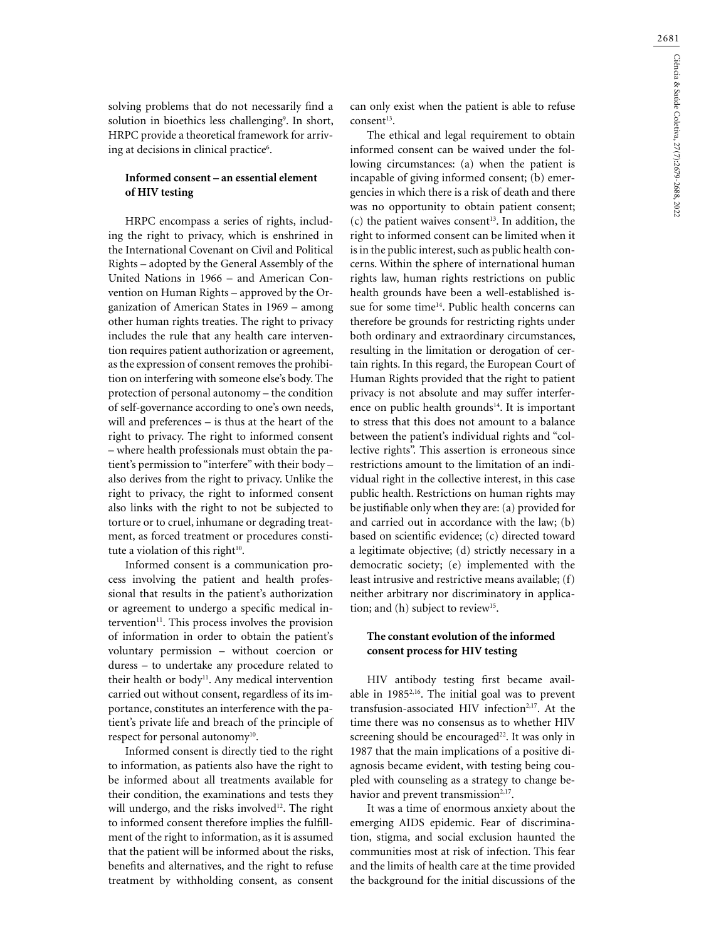solving problems that do not necessarily find a solution in bioethics less challenging<sup>9</sup>. In short, HRPC provide a theoretical framework for arriving at decisions in clinical practice<sup>6</sup>.

#### **Informed consent – an essential element of HIV testing**

HRPC encompass a series of rights, including the right to privacy, which is enshrined in the International Covenant on Civil and Political Rights – adopted by the General Assembly of the United Nations in 1966 – and American Convention on Human Rights – approved by the Organization of American States in 1969 – among other human rights treaties. The right to privacy includes the rule that any health care intervention requires patient authorization or agreement, as the expression of consent removes the prohibition on interfering with someone else's body. The protection of personal autonomy – the condition of self-governance according to one's own needs, will and preferences – is thus at the heart of the right to privacy. The right to informed consent – where health professionals must obtain the patient's permission to "interfere" with their body – also derives from the right to privacy. Unlike the right to privacy, the right to informed consent also links with the right to not be subjected to torture or to cruel, inhumane or degrading treatment, as forced treatment or procedures constitute a violation of this right $10$ .

Informed consent is a communication process involving the patient and health professional that results in the patient's authorization or agreement to undergo a specific medical intervention $11$ . This process involves the provision of information in order to obtain the patient's voluntary permission – without coercion or duress – to undertake any procedure related to their health or body<sup>11</sup>. Any medical intervention carried out without consent, regardless of its importance, constitutes an interference with the patient's private life and breach of the principle of respect for personal autonomy<sup>10</sup>.

Informed consent is directly tied to the right to information, as patients also have the right to be informed about all treatments available for their condition, the examinations and tests they will undergo, and the risks involved<sup>12</sup>. The right to informed consent therefore implies the fulfillment of the right to information, as it is assumed that the patient will be informed about the risks, benefits and alternatives, and the right to refuse treatment by withholding consent, as consent

can only exist when the patient is able to refuse consent<sup>13</sup>.

The ethical and legal requirement to obtain informed consent can be waived under the following circumstances: (a) when the patient is incapable of giving informed consent; (b) emergencies in which there is a risk of death and there was no opportunity to obtain patient consent;  $(c)$  the patient waives consent<sup>13</sup>. In addition, the right to informed consent can be limited when it is in the public interest, such as public health concerns. Within the sphere of international human rights law, human rights restrictions on public health grounds have been a well-established issue for some time<sup>14</sup>. Public health concerns can therefore be grounds for restricting rights under both ordinary and extraordinary circumstances, resulting in the limitation or derogation of certain rights. In this regard, the European Court of Human Rights provided that the right to patient privacy is not absolute and may suffer interference on public health grounds $14$ . It is important to stress that this does not amount to a balance between the patient's individual rights and "collective rights". This assertion is erroneous since restrictions amount to the limitation of an individual right in the collective interest, in this case public health. Restrictions on human rights may be justifiable only when they are: (a) provided for and carried out in accordance with the law; (b) based on scientific evidence; (c) directed toward a legitimate objective; (d) strictly necessary in a democratic society; (e) implemented with the least intrusive and restrictive means available; (f) neither arbitrary nor discriminatory in application; and (h) subject to review<sup>15</sup>.

# **The constant evolution of the informed consent process for HIV testing**

HIV antibody testing first became available in 19852,16. The initial goal was to prevent transfusion-associated HIV infection<sup>2,17</sup>. At the time there was no consensus as to whether HIV screening should be encouraged<sup>22</sup>. It was only in 1987 that the main implications of a positive diagnosis became evident, with testing being coupled with counseling as a strategy to change behavior and prevent transmission<sup>2,17</sup>.

It was a time of enormous anxiety about the emerging AIDS epidemic. Fear of discrimination, stigma, and social exclusion haunted the communities most at risk of infection. This fear and the limits of health care at the time provided the background for the initial discussions of the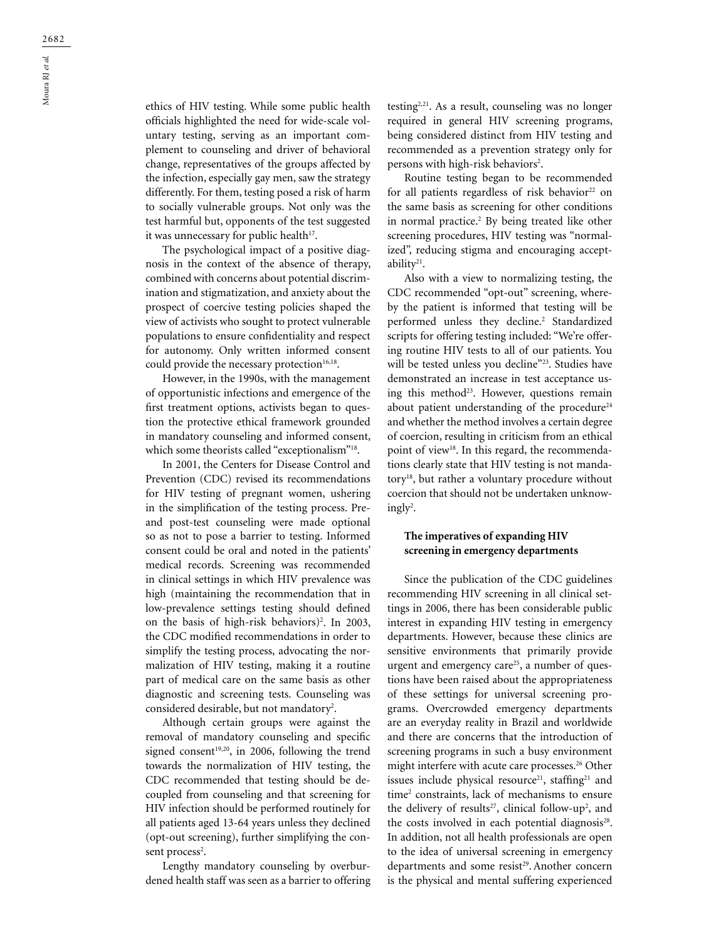ethics of HIV testing. While some public health officials highlighted the need for wide-scale voluntary testing, serving as an important complement to counseling and driver of behavioral change, representatives of the groups affected by the infection, especially gay men, saw the strategy differently. For them, testing posed a risk of harm to socially vulnerable groups. Not only was the test harmful but, opponents of the test suggested it was unnecessary for public health<sup>17</sup>.

The psychological impact of a positive diagnosis in the context of the absence of therapy, combined with concerns about potential discrimination and stigmatization, and anxiety about the prospect of coercive testing policies shaped the view of activists who sought to protect vulnerable populations to ensure confidentiality and respect for autonomy. Only written informed consent could provide the necessary protection<sup>16,18</sup>.

However, in the 1990s, with the management of opportunistic infections and emergence of the first treatment options, activists began to question the protective ethical framework grounded in mandatory counseling and informed consent, which some theorists called "exceptionalism"<sup>18</sup>.

In 2001, the Centers for Disease Control and Prevention (CDC) revised its recommendations for HIV testing of pregnant women, ushering in the simplification of the testing process. Preand post-test counseling were made optional so as not to pose a barrier to testing. Informed consent could be oral and noted in the patients' medical records. Screening was recommended in clinical settings in which HIV prevalence was high (maintaining the recommendation that in low-prevalence settings testing should defined on the basis of high-risk behaviors)<sup>2</sup>. In 2003, the CDC modified recommendations in order to simplify the testing process, advocating the normalization of HIV testing, making it a routine part of medical care on the same basis as other diagnostic and screening tests. Counseling was considered desirable, but not mandatory<sup>2</sup>.

Although certain groups were against the removal of mandatory counseling and specific signed consent<sup>19,20</sup>, in 2006, following the trend towards the normalization of HIV testing, the CDC recommended that testing should be decoupled from counseling and that screening for HIV infection should be performed routinely for all patients aged 13-64 years unless they declined (opt-out screening), further simplifying the consent process<sup>2</sup>.

Lengthy mandatory counseling by overburdened health staff was seen as a barrier to offering testing2,21. As a result, counseling was no longer required in general HIV screening programs, being considered distinct from HIV testing and recommended as a prevention strategy only for persons with high-risk behaviors<sup>2</sup>.

Routine testing began to be recommended for all patients regardless of risk behavior<sup>22</sup> on the same basis as screening for other conditions in normal practice.2 By being treated like other screening procedures, HIV testing was "normalized", reducing stigma and encouraging acceptability21.

Also with a view to normalizing testing, the CDC recommended "opt-out" screening, whereby the patient is informed that testing will be performed unless they decline.2 Standardized scripts for offering testing included: "We're offering routine HIV tests to all of our patients. You will be tested unless you decline"<sup>23</sup>. Studies have demonstrated an increase in test acceptance using this method<sup>23</sup>. However, questions remain about patient understanding of the procedure<sup>24</sup> and whether the method involves a certain degree of coercion, resulting in criticism from an ethical point of view<sup>18</sup>. In this regard, the recommendations clearly state that HIV testing is not mandatory18, but rather a voluntary procedure without coercion that should not be undertaken unknowingly<sup>2</sup>.

## **The imperatives of expanding HIV screening in emergency departments**

Since the publication of the CDC guidelines recommending HIV screening in all clinical settings in 2006, there has been considerable public interest in expanding HIV testing in emergency departments. However, because these clinics are sensitive environments that primarily provide urgent and emergency care<sup>25</sup>, a number of questions have been raised about the appropriateness of these settings for universal screening programs. Overcrowded emergency departments are an everyday reality in Brazil and worldwide and there are concerns that the introduction of screening programs in such a busy environment might interfere with acute care processes.<sup>26</sup> Other issues include physical resource<sup>21</sup>, staffing<sup>21</sup> and time<sup>2</sup> constraints, lack of mechanisms to ensure the delivery of results<sup>27</sup>, clinical follow-up<sup>2</sup>, and the costs involved in each potential diagnosis $28$ . In addition, not all health professionals are open to the idea of universal screening in emergency departments and some resist<sup>29</sup>. Another concern is the physical and mental suffering experienced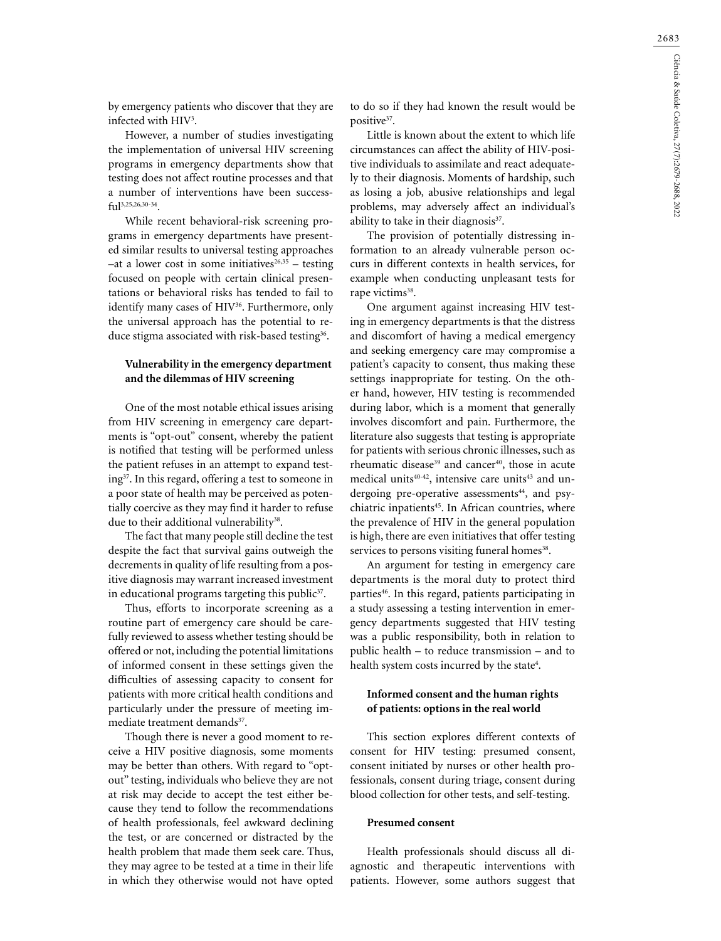by emergency patients who discover that they are infected with HIV3 .

However, a number of studies investigating the implementation of universal HIV screening programs in emergency departments show that testing does not affect routine processes and that a number of interventions have been successful3,25,26,30-34.

While recent behavioral-risk screening programs in emergency departments have presented similar results to universal testing approaches  $-$ at a lower cost in some initiatives<sup>26,35</sup> – testing focused on people with certain clinical presentations or behavioral risks has tended to fail to identify many cases of HIV<sup>36</sup>. Furthermore, only the universal approach has the potential to reduce stigma associated with risk-based testing<sup>36</sup>.

### **Vulnerability in the emergency department and the dilemmas of HIV screening**

One of the most notable ethical issues arising from HIV screening in emergency care departments is "opt-out" consent, whereby the patient is notified that testing will be performed unless the patient refuses in an attempt to expand testing37. In this regard, offering a test to someone in a poor state of health may be perceived as potentially coercive as they may find it harder to refuse due to their additional vulnerability<sup>38</sup>.

The fact that many people still decline the test despite the fact that survival gains outweigh the decrements in quality of life resulting from a positive diagnosis may warrant increased investment in educational programs targeting this public $37$ .

Thus, efforts to incorporate screening as a routine part of emergency care should be carefully reviewed to assess whether testing should be offered or not, including the potential limitations of informed consent in these settings given the difficulties of assessing capacity to consent for patients with more critical health conditions and particularly under the pressure of meeting immediate treatment demands<sup>37</sup>.

Though there is never a good moment to receive a HIV positive diagnosis, some moments may be better than others. With regard to "optout" testing, individuals who believe they are not at risk may decide to accept the test either because they tend to follow the recommendations of health professionals, feel awkward declining the test, or are concerned or distracted by the health problem that made them seek care. Thus, they may agree to be tested at a time in their life in which they otherwise would not have opted to do so if they had known the result would be positive<sup>37</sup>.

Little is known about the extent to which life circumstances can affect the ability of HIV-positive individuals to assimilate and react adequately to their diagnosis. Moments of hardship, such as losing a job, abusive relationships and legal problems, may adversely affect an individual's ability to take in their diagnosis<sup>37</sup>.

The provision of potentially distressing information to an already vulnerable person occurs in different contexts in health services, for example when conducting unpleasant tests for rape victims<sup>38</sup>.

One argument against increasing HIV testing in emergency departments is that the distress and discomfort of having a medical emergency and seeking emergency care may compromise a patient's capacity to consent, thus making these settings inappropriate for testing. On the other hand, however, HIV testing is recommended during labor, which is a moment that generally involves discomfort and pain. Furthermore, the literature also suggests that testing is appropriate for patients with serious chronic illnesses, such as rheumatic disease<sup>39</sup> and cancer<sup>40</sup>, those in acute medical units<sup>40-42</sup>, intensive care units<sup>43</sup> and undergoing pre-operative assessments<sup>44</sup>, and psychiatric inpatients<sup>45</sup>. In African countries, where the prevalence of HIV in the general population is high, there are even initiatives that offer testing services to persons visiting funeral homes<sup>38</sup>.

An argument for testing in emergency care departments is the moral duty to protect third parties<sup>46</sup>. In this regard, patients participating in a study assessing a testing intervention in emergency departments suggested that HIV testing was a public responsibility, both in relation to public health – to reduce transmission – and to health system costs incurred by the state<sup>4</sup>.

## **Informed consent and the human rights of patients: options in the real world**

This section explores different contexts of consent for HIV testing: presumed consent, consent initiated by nurses or other health professionals, consent during triage, consent during blood collection for other tests, and self-testing.

## **Presumed consent**

Health professionals should discuss all diagnostic and therapeutic interventions with patients. However, some authors suggest that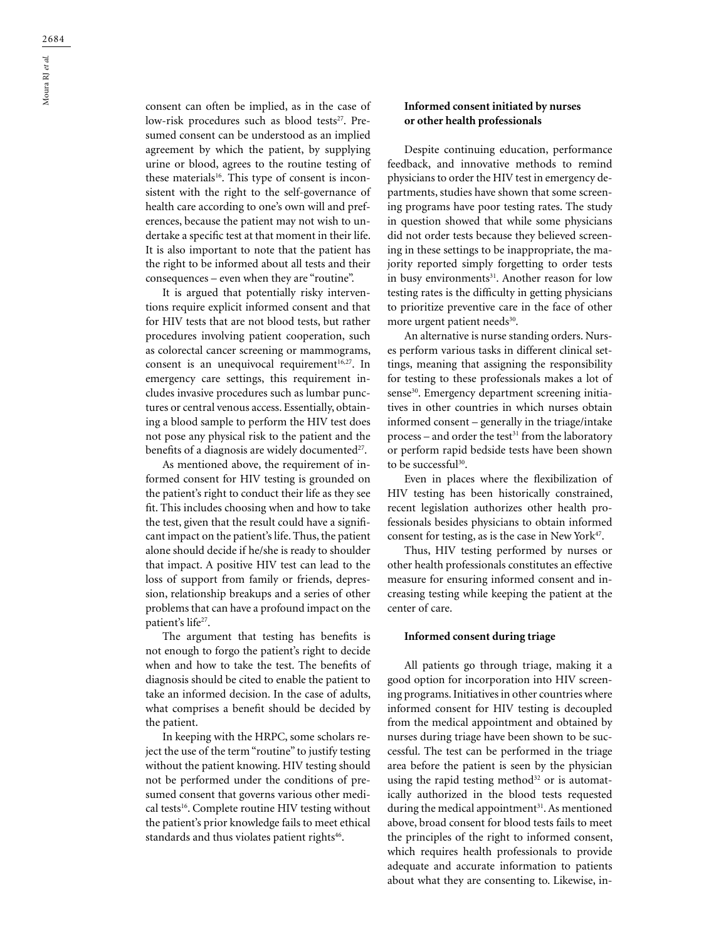consent can often be implied, as in the case of low-risk procedures such as blood tests<sup>27</sup>. Presumed consent can be understood as an implied agreement by which the patient, by supplying urine or blood, agrees to the routine testing of these materials<sup>16</sup>. This type of consent is incon-

sistent with the right to the self-governance of health care according to one's own will and preferences, because the patient may not wish to undertake a specific test at that moment in their life. It is also important to note that the patient has the right to be informed about all tests and their consequences – even when they are "routine".

It is argued that potentially risky interventions require explicit informed consent and that for HIV tests that are not blood tests, but rather procedures involving patient cooperation, such as colorectal cancer screening or mammograms, consent is an unequivocal requirement $16,27$ . In emergency care settings, this requirement includes invasive procedures such as lumbar punctures or central venous access. Essentially, obtaining a blood sample to perform the HIV test does not pose any physical risk to the patient and the benefits of a diagnosis are widely documented<sup>27</sup>.

As mentioned above, the requirement of informed consent for HIV testing is grounded on the patient's right to conduct their life as they see fit. This includes choosing when and how to take the test, given that the result could have a significant impact on the patient's life. Thus, the patient alone should decide if he/she is ready to shoulder that impact. A positive HIV test can lead to the loss of support from family or friends, depression, relationship breakups and a series of other problems that can have a profound impact on the patient's life<sup>27</sup>.

The argument that testing has benefits is not enough to forgo the patient's right to decide when and how to take the test. The benefits of diagnosis should be cited to enable the patient to take an informed decision. In the case of adults, what comprises a benefit should be decided by the patient.

In keeping with the HRPC, some scholars reject the use of the term "routine" to justify testing without the patient knowing. HIV testing should not be performed under the conditions of presumed consent that governs various other medical tests<sup>16</sup>. Complete routine HIV testing without the patient's prior knowledge fails to meet ethical standards and thus violates patient rights<sup>46</sup>.

## **Informed consent initiated by nurses or other health professionals**

Despite continuing education, performance feedback, and innovative methods to remind physicians to order the HIV test in emergency departments, studies have shown that some screening programs have poor testing rates. The study in question showed that while some physicians did not order tests because they believed screening in these settings to be inappropriate, the majority reported simply forgetting to order tests in busy environments<sup>31</sup>. Another reason for low testing rates is the difficulty in getting physicians to prioritize preventive care in the face of other more urgent patient needs<sup>30</sup>.

An alternative is nurse standing orders. Nurses perform various tasks in different clinical settings, meaning that assigning the responsibility for testing to these professionals makes a lot of sense<sup>30</sup>. Emergency department screening initiatives in other countries in which nurses obtain informed consent – generally in the triage/intake  $process - and order the test<sup>31</sup> from the laboratory$ or perform rapid bedside tests have been shown to be successful<sup>30</sup>.

Even in places where the flexibilization of HIV testing has been historically constrained, recent legislation authorizes other health professionals besides physicians to obtain informed consent for testing, as is the case in New York $47$ .

Thus, HIV testing performed by nurses or other health professionals constitutes an effective measure for ensuring informed consent and increasing testing while keeping the patient at the center of care.

#### **Informed consent during triage**

All patients go through triage, making it a good option for incorporation into HIV screening programs. Initiatives in other countries where informed consent for HIV testing is decoupled from the medical appointment and obtained by nurses during triage have been shown to be successful. The test can be performed in the triage area before the patient is seen by the physician using the rapid testing method $32$  or is automatically authorized in the blood tests requested during the medical appointment $31$ . As mentioned above, broad consent for blood tests fails to meet the principles of the right to informed consent, which requires health professionals to provide adequate and accurate information to patients about what they are consenting to. Likewise, in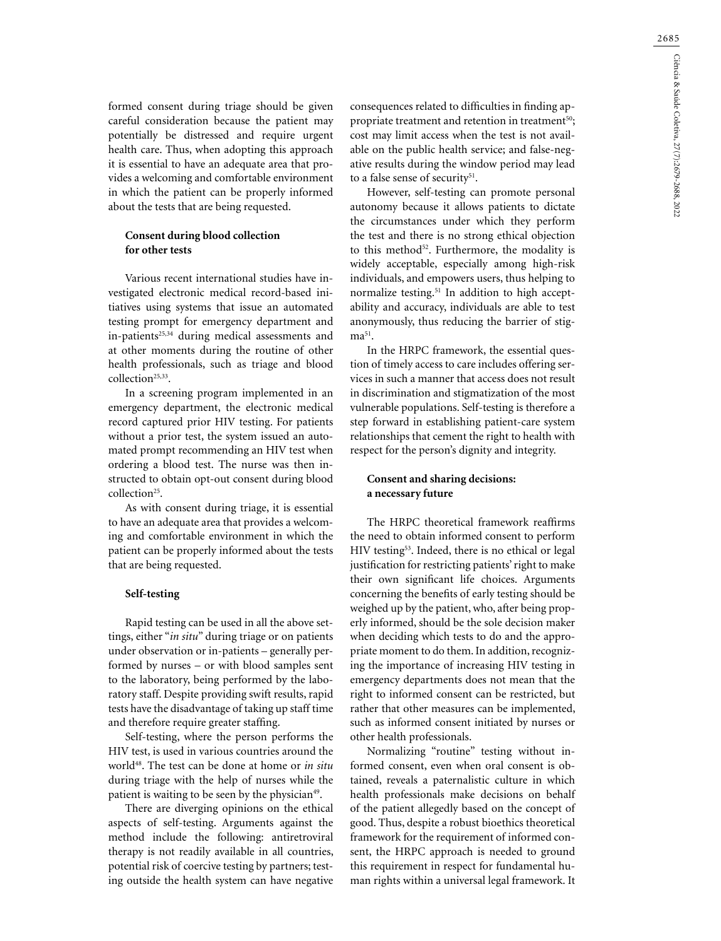formed consent during triage should be given careful consideration because the patient may potentially be distressed and require urgent health care. Thus, when adopting this approach it is essential to have an adequate area that provides a welcoming and comfortable environment in which the patient can be properly informed about the tests that are being requested.

# **Consent during blood collection for other tests**

Various recent international studies have investigated electronic medical record-based initiatives using systems that issue an automated testing prompt for emergency department and in-patients<sup>25,34</sup> during medical assessments and at other moments during the routine of other health professionals, such as triage and blood collection<sup>25,33</sup>.

In a screening program implemented in an emergency department, the electronic medical record captured prior HIV testing. For patients without a prior test, the system issued an automated prompt recommending an HIV test when ordering a blood test. The nurse was then instructed to obtain opt-out consent during blood collection<sup>25</sup>.

As with consent during triage, it is essential to have an adequate area that provides a welcoming and comfortable environment in which the patient can be properly informed about the tests that are being requested.

#### **Self-testing**

Rapid testing can be used in all the above settings, either "*in situ*" during triage or on patients under observation or in-patients – generally performed by nurses – or with blood samples sent to the laboratory, being performed by the laboratory staff. Despite providing swift results, rapid tests have the disadvantage of taking up staff time and therefore require greater staffing.

Self-testing, where the person performs the HIV test, is used in various countries around the world48. The test can be done at home or *in situ* during triage with the help of nurses while the patient is waiting to be seen by the physician<sup>49</sup>.

There are diverging opinions on the ethical aspects of self-testing. Arguments against the method include the following: antiretroviral therapy is not readily available in all countries, potential risk of coercive testing by partners; testing outside the health system can have negative consequences related to difficulties in finding appropriate treatment and retention in treatment<sup>50</sup>; cost may limit access when the test is not available on the public health service; and false-negative results during the window period may lead to a false sense of security<sup>51</sup>.

However, self-testing can promote personal autonomy because it allows patients to dictate the circumstances under which they perform the test and there is no strong ethical objection to this method<sup>52</sup>. Furthermore, the modality is widely acceptable, especially among high-risk individuals, and empowers users, thus helping to normalize testing.<sup>51</sup> In addition to high acceptability and accuracy, individuals are able to test anonymously, thus reducing the barrier of stig $ma^{51}$ .

In the HRPC framework, the essential question of timely access to care includes offering services in such a manner that access does not result in discrimination and stigmatization of the most vulnerable populations. Self-testing is therefore a step forward in establishing patient-care system relationships that cement the right to health with respect for the person's dignity and integrity.

# **Consent and sharing decisions: a necessary future**

The HRPC theoretical framework reaffirms the need to obtain informed consent to perform HIV testing<sup>53</sup>. Indeed, there is no ethical or legal justification for restricting patients' right to make their own significant life choices. Arguments concerning the benefits of early testing should be weighed up by the patient, who, after being properly informed, should be the sole decision maker when deciding which tests to do and the appropriate moment to do them. In addition, recognizing the importance of increasing HIV testing in emergency departments does not mean that the right to informed consent can be restricted, but rather that other measures can be implemented, such as informed consent initiated by nurses or other health professionals.

Normalizing "routine" testing without informed consent, even when oral consent is obtained, reveals a paternalistic culture in which health professionals make decisions on behalf of the patient allegedly based on the concept of good. Thus, despite a robust bioethics theoretical framework for the requirement of informed consent, the HRPC approach is needed to ground this requirement in respect for fundamental human rights within a universal legal framework. It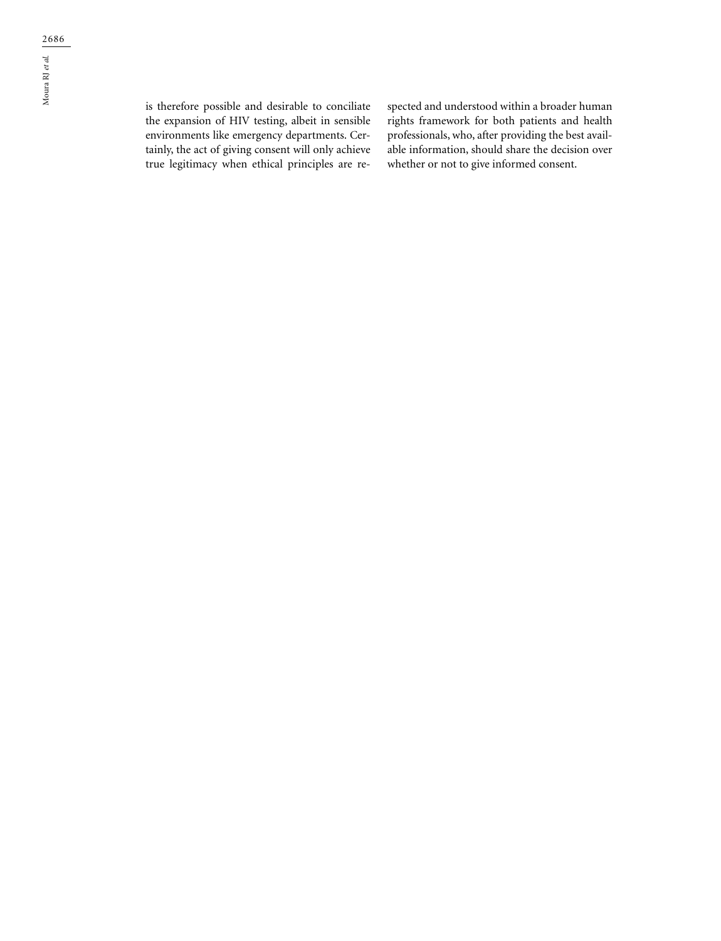is therefore possible and desirable to conciliate the expansion of HIV testing, albeit in sensible environments like emergency departments. Certainly, the act of giving consent will only achieve true legitimacy when ethical principles are re-

spected and understood within a broader human rights framework for both patients and health professionals, who, after providing the best available information, should share the decision over whether or not to give informed consent.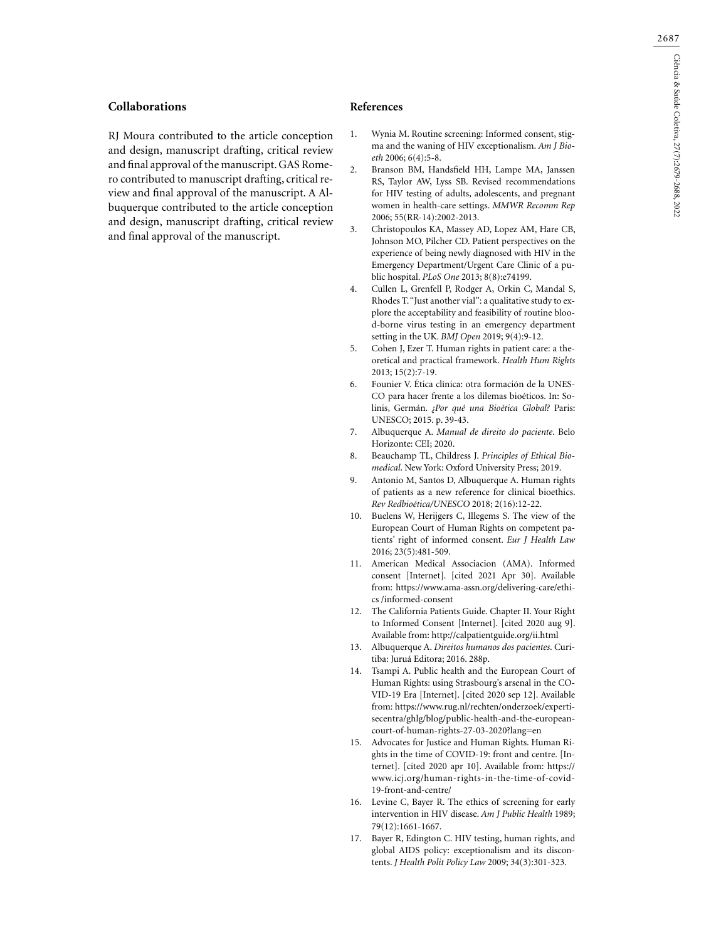## **Collaborations**

RJ Moura contributed to the article conception and design, manuscript drafting, critical review and final approval of the manuscript. GAS Romero contributed to manuscript drafting, critical review and final approval of the manuscript. A Albuquerque contributed to the article conception and design, manuscript drafting, critical review and final approval of the manuscript.

#### **References**

- 1. Wynia M. Routine screening: Informed consent, stigma and the waning of HIV exceptionalism. *Am J Bioeth* 2006; 6(4):5-8.
- 2. Branson BM, Handsfield HH, Lampe MA, Janssen RS, Taylor AW, Lyss SB. Revised recommendations for HIV testing of adults, adolescents, and pregnant women in health-care settings. *MMWR Recomm Rep* 2006; 55(RR-14):2002-2013.
- 3. Christopoulos KA, Massey AD, Lopez AM, Hare CB, Johnson MO, Pilcher CD. Patient perspectives on the experience of being newly diagnosed with HIV in the Emergency Department/Urgent Care Clinic of a public hospital. *PLoS One* 2013; 8(8):e74199.
- 4. Cullen L, Grenfell P, Rodger A, Orkin C, Mandal S, Rhodes T. "Just another vial": a qualitative study to explore the acceptability and feasibility of routine blood-borne virus testing in an emergency department setting in the UK. *BMJ Open* 2019; 9(4):9-12.
- 5. Cohen J, Ezer T. Human rights in patient care: a theoretical and practical framework. *Health Hum Rights* 2013; 15(2):7-19.
- 6. Founier V. Ética clínica: otra formación de la UNES-CO para hacer frente a los dilemas bioéticos. In: Solinis, Germán. *¿Por qué una Bioética Global?* Paris: UNESCO; 2015. p. 39-43.
- 7. Albuquerque A. *Manual de direito do paciente*. Belo Horizonte: CEI; 2020.
- 8. Beauchamp TL, Childress J. *Principles of Ethical Biomedical*. New York: Oxford University Press; 2019.
- 9. Antonio M, Santos D, Albuquerque A. Human rights of patients as a new reference for clinical bioethics. *Rev Redbioética/UNESCO* 2018; 2(16):12-22.
- 10. Buelens W, Herijgers C, Illegems S. The view of the European Court of Human Rights on competent patients' right of informed consent. *Eur J Health Law* 2016; 23(5):481-509.
- 11. American Medical Associacion (AMA). Informed consent [Internet]. [cited 2021 Apr 30]. Available from: https://www.ama-assn.org/delivering-care/ethics /informed-consent
- 12. The California Patients Guide. Chapter II. Your Right to Informed Consent [Internet]. [cited 2020 aug 9]. Available from: http://calpatientguide.org/ii.html
- 13. Albuquerque A. *Direitos humanos dos pacientes*. Curitiba: Juruá Editora; 2016. 288p.
- 14. Tsampi A. Public health and the European Court of Human Rights: using Strasbourg's arsenal in the CO-VID-19 Era [Internet]. [cited 2020 sep 12]. Available from: https://www.rug.nl/rechten/onderzoek/expertisecentra/ghlg/blog/public-health-and-the-europeancourt-of-human-rights-27-03-2020?lang=en
- 15. Advocates for Justice and Human Rights. Human Rights in the time of COVID-19: front and centre. [Internet]. [cited 2020 apr 10]. Available from: https:// www.icj.org/human-rights-in-the-time-of-covid-19-front-and-centre/
- 16. Levine C, Bayer R. The ethics of screening for early intervention in HIV disease. *Am J Public Health* 1989; 79(12):1661-1667.
- 17. Bayer R, Edington C. HIV testing, human rights, and global AIDS policy: exceptionalism and its discontents. *J Health Polit Policy Law* 2009; 34(3):301-323.